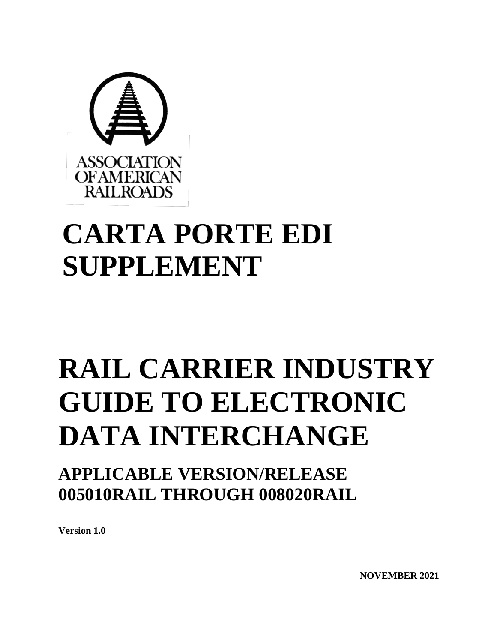

# **CARTA PORTE EDI SUPPLEMENT**

# **RAIL CARRIER INDUSTRY GUIDE TO ELECTRONIC DATA INTERCHANGE**

**APPLICABLE VERSION/RELEASE 005010RAIL THROUGH 008020RAIL**

**Version 1.0**

**NOVEMBER 2021**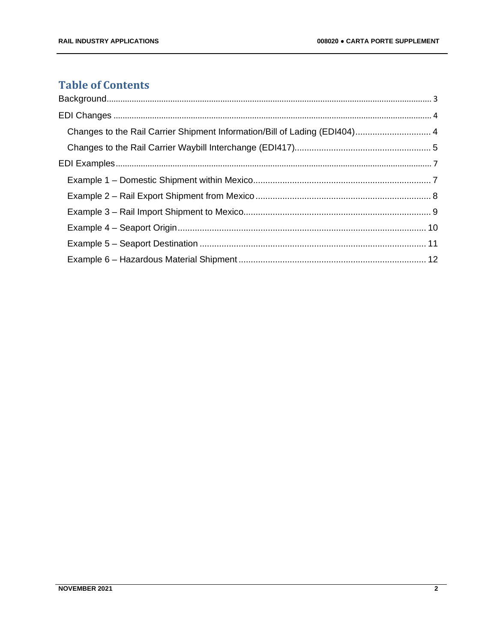# **Table of Contents**

| Changes to the Rail Carrier Shipment Information/Bill of Lading (EDI404) 4 |  |
|----------------------------------------------------------------------------|--|
|                                                                            |  |
|                                                                            |  |
|                                                                            |  |
|                                                                            |  |
|                                                                            |  |
|                                                                            |  |
|                                                                            |  |
|                                                                            |  |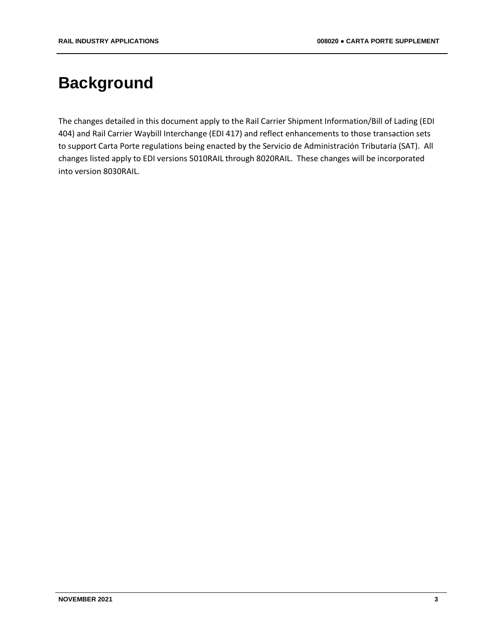# <span id="page-2-0"></span>**Background**

The changes detailed in this document apply to the Rail Carrier Shipment Information/Bill of Lading (EDI 404) and Rail Carrier Waybill Interchange (EDI 417) and reflect enhancements to those transaction sets to support Carta Porte regulations being enacted by the Servicio de Administración Tributaria (SAT). All changes listed apply to EDI versions 5010RAIL through 8020RAIL. These changes will be incorporated into version 8030RAIL.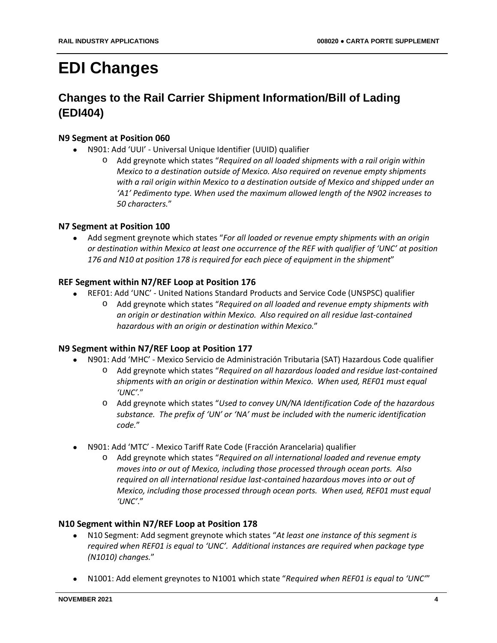# <span id="page-3-0"></span>**EDI Changes**

# <span id="page-3-1"></span>**Changes to the Rail Carrier Shipment Information/Bill of Lading (EDI404)**

#### **N9 Segment at Position 060**

- N901: Add 'UUI' Universal Unique Identifier (UUID) qualifier
	- o Add greynote which states "*Required on all loaded shipments with a rail origin within Mexico to a destination outside of Mexico. Also required on revenue empty shipments with a rail origin within Mexico to a destination outside of Mexico and shipped under an 'A1' Pedimento type. When used the maximum allowed length of the N902 increases to 50 characters.*"

#### **N7 Segment at Position 100**

• Add segment greynote which states "*For all loaded or revenue empty shipments with an origin or destination within Mexico at least one occurrence of the REF with qualifier of 'UNC' at position 176 and N10 at position 178 is required for each piece of equipment in the shipment*"

#### **REF Segment within N7/REF Loop at Position 176**

- REF01: Add 'UNC' United Nations Standard Products and Service Code (UNSPSC) qualifier
	- o Add greynote which states "*Required on all loaded and revenue empty shipments with an origin or destination within Mexico. Also required on all residue last-contained hazardous with an origin or destination within Mexico.*"

#### **N9 Segment within N7/REF Loop at Position 177**

- N901: Add 'MHC' Mexico Servicio de Administración Tributaria (SAT) Hazardous Code qualifier
	- o Add greynote which states "*Required on all hazardous loaded and residue last-contained shipments with an origin or destination within Mexico. When used, REF01 must equal 'UNC'.*"
	- o Add greynote which states "*Used to convey UN/NA Identification Code of the hazardous substance. The prefix of 'UN' or 'NA' must be included with the numeric identification code.*"
- N901: Add 'MTC' Mexico Tariff Rate Code (Fracción Arancelaria) qualifier
	- o Add greynote which states "*Required on all international loaded and revenue empty moves into or out of Mexico, including those processed through ocean ports. Also required on all international residue last-contained hazardous moves into or out of Mexico, including those processed through ocean ports. When used, REF01 must equal 'UNC'*."

#### **N10 Segment within N7/REF Loop at Position 178**

- N10 Segment: Add segment greynote which states "*At least one instance of this segment is required when REF01 is equal to 'UNC'. Additional instances are required when package type (N1010) changes.*"
- N1001: Add element greynotes to N1001 which state "*Required when REF01 is equal to 'UNC'*"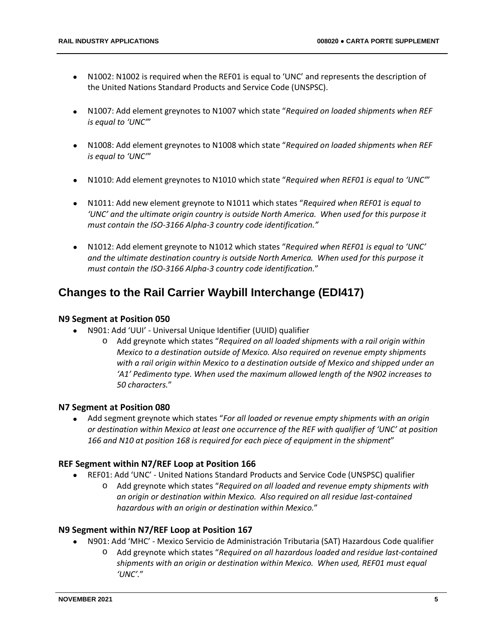- N1002: N1002 is required when the REF01 is equal to 'UNC' and represents the description of the United Nations Standard Products and Service Code (UNSPSC).
- N1007: Add element greynotes to N1007 which state "*Required on loaded shipments when REF is equal to 'UNC'*"
- N1008: Add element greynotes to N1008 which state "*Required on loaded shipments when REF is equal to 'UNC'*"
- N1010: Add element greynotes to N1010 which state "*Required when REF01 is equal to 'UNC'*"
- N1011: Add new element greynote to N1011 which states "*Required when REF01 is equal to 'UNC' and the ultimate origin country is outside North America. When used for this purpose it must contain the ISO-3166 Alpha-3 country code identification."*
- N1012: Add element greynote to N1012 which states "*Required when REF01 is equal to 'UNC' and the ultimate destination country is outside North America. When used for this purpose it must contain the ISO-3166 Alpha-3 country code identification.*"

# <span id="page-4-0"></span>**Changes to the Rail Carrier Waybill Interchange (EDI417)**

#### **N9 Segment at Position 050**

- N901: Add 'UUI' Universal Unique Identifier (UUID) qualifier
	- o Add greynote which states "*Required on all loaded shipments with a rail origin within Mexico to a destination outside of Mexico. Also required on revenue empty shipments with a rail origin within Mexico to a destination outside of Mexico and shipped under an 'A1' Pedimento type. When used the maximum allowed length of the N902 increases to 50 characters.*"

#### **N7 Segment at Position 080**

• Add segment greynote which states "*For all loaded or revenue empty shipments with an origin or destination within Mexico at least one occurrence of the REF with qualifier of 'UNC' at position 166 and N10 at position 168 is required for each piece of equipment in the shipment*"

#### **REF Segment within N7/REF Loop at Position 166**

- REF01: Add 'UNC' United Nations Standard Products and Service Code (UNSPSC) qualifier
	- o Add greynote which states "*Required on all loaded and revenue empty shipments with an origin or destination within Mexico. Also required on all residue last-contained hazardous with an origin or destination within Mexico.*"

#### **N9 Segment within N7/REF Loop at Position 167**

- N901: Add 'MHC' Mexico Servicio de Administración Tributaria (SAT) Hazardous Code qualifier
	- o Add greynote which states "*Required on all hazardous loaded and residue last-contained shipments with an origin or destination within Mexico. When used, REF01 must equal 'UNC'.*"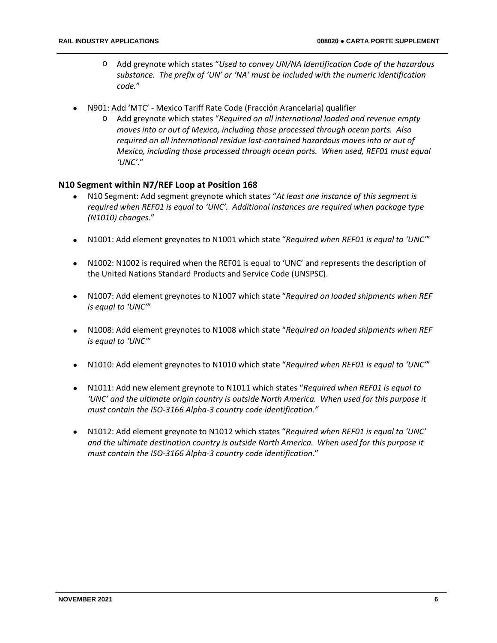- o Add greynote which states "*Used to convey UN/NA Identification Code of the hazardous substance. The prefix of 'UN' or 'NA' must be included with the numeric identification code.*"
- N901: Add 'MTC' Mexico Tariff Rate Code (Fracción Arancelaria) qualifier
	- o Add greynote which states "*Required on all international loaded and revenue empty moves into or out of Mexico, including those processed through ocean ports. Also required on all international residue last-contained hazardous moves into or out of Mexico, including those processed through ocean ports. When used, REF01 must equal 'UNC'*."

#### **N10 Segment within N7/REF Loop at Position 168**

- N10 Segment: Add segment greynote which states "*At least one instance of this segment is required when REF01 is equal to 'UNC'. Additional instances are required when package type (N1010) changes.*"
- N1001: Add element greynotes to N1001 which state "*Required when REF01 is equal to 'UNC'*"
- N1002: N1002 is required when the REF01 is equal to 'UNC' and represents the description of the United Nations Standard Products and Service Code (UNSPSC).
- N1007: Add element greynotes to N1007 which state "*Required on loaded shipments when REF is equal to 'UNC'*"
- N1008: Add element greynotes to N1008 which state "*Required on loaded shipments when REF is equal to 'UNC'*"
- N1010: Add element greynotes to N1010 which state "*Required when REF01 is equal to 'UNC'*"
- N1011: Add new element greynote to N1011 which states "*Required when REF01 is equal to 'UNC' and the ultimate origin country is outside North America. When used for this purpose it must contain the ISO-3166 Alpha-3 country code identification."*
- N1012: Add element greynote to N1012 which states "*Required when REF01 is equal to 'UNC' and the ultimate destination country is outside North America. When used for this purpose it must contain the ISO-3166 Alpha-3 country code identification.*"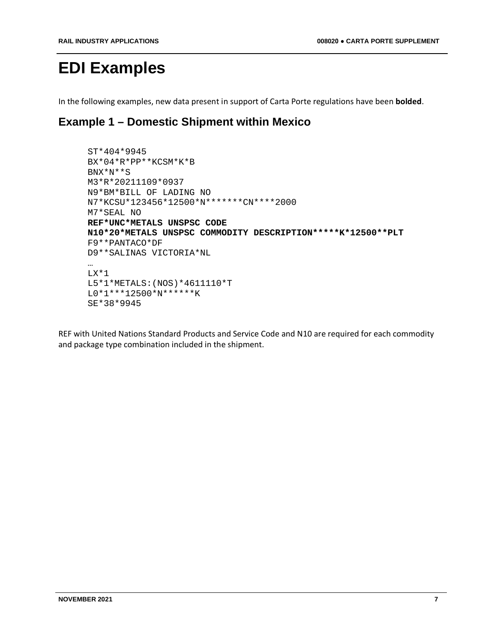# <span id="page-6-0"></span>**EDI Examples**

In the following examples, new data present in support of Carta Porte regulations have been **bolded**.

# <span id="page-6-1"></span>**Example 1 – Domestic Shipment within Mexico**

```
ST*404*9945
BX*04*R*PP**KCSM*K*B
BNX*N**S
M3*R*20211109*0937
N9*BM*BILL OF LADING NO
N7*KCSU*123456*12500*N*******CN****2000
M7*SEAL NO
REF*UNC*METALS UNSPSC CODE 
N10*20*METALS UNSPSC COMMODITY DESCRIPTION*****K*12500**PLT
F9**PANTACO*DF
D9**SALINAS VICTORIA*NL
…
LX*1
L5*1*METALS:(NOS)*4611110*T
L0*1***12500*N******K
SE*38*9945
```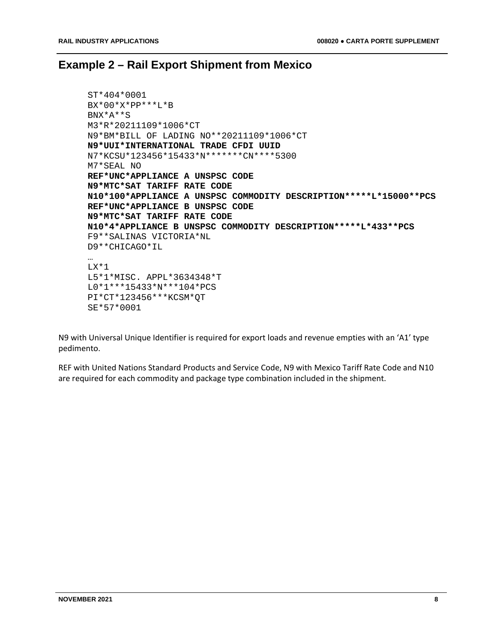## <span id="page-7-0"></span>**Example 2 – Rail Export Shipment from Mexico**

```
ST*404*0001
BX*00*X*PP***L*B
BNX*A**S
M3*R*20211109*1006*CT
N9*BM*BILL OF LADING NO**20211109*1006*CT
N9*UUI*INTERNATIONAL TRADE CFDI UUID
N7*KCSU*123456*15433*N*******CN****5300
M7*SEAL NO
REF*UNC*APPLIANCE A UNSPSC CODE 
N9*MTC*SAT TARIFF RATE CODE
N10*100*APPLIANCE A UNSPSC COMMODITY DESCRIPTION*****L*15000**PCS
REF*UNC*APPLIANCE B UNSPSC CODE 
N9*MTC*SAT TARIFF RATE CODE
N10*4*APPLIANCE B UNSPSC COMMODITY DESCRIPTION*****L*433**PCS
F9**SALINAS VICTORIA*NL
D9**CHICAGO*IL
…
LX*1
L5*1*MISC. APPL*3634348*T
L0*1***15433*N***104*PCS
PI*CT*123456***KCSM*QT
SE*57*0001
```
N9 with Universal Unique Identifier is required for export loads and revenue empties with an 'A1' type pedimento.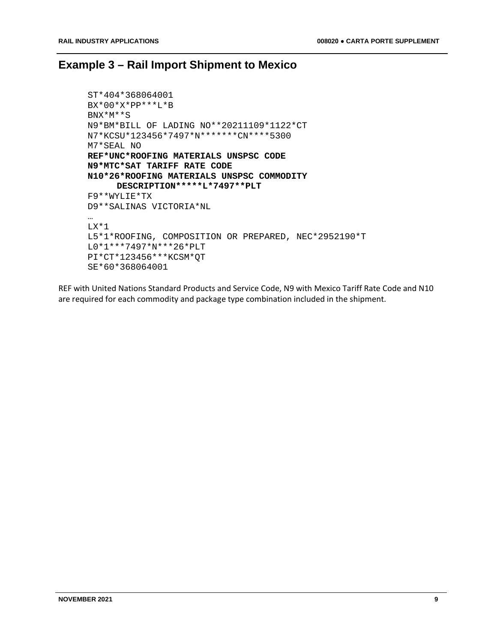# <span id="page-8-0"></span>**Example 3 – Rail Import Shipment to Mexico**

```
ST*404*368064001
BX*00*X*PP***L*B
BNX*M**S
N9*BM*BILL OF LADING NO**20211109*1122*CT
N7*KCSU*123456*7497*N*******CN****5300
M7*SEAL NO
REF*UNC*ROOFING MATERIALS UNSPSC CODE 
N9*MTC*SAT TARIFF RATE CODE
N10*26*ROOFING MATERIALS UNSPSC COMMODITY 
     DESCRIPTION*****L*7497**PLT
F9**WYLIE*TX
D9**SALINAS VICTORIA*NL
…
LX*1
L5*1*ROOFING, COMPOSITION OR PREPARED, NEC*2952190*T
L0*1***7497*N***26*PLT
PI*CT*123456***KCSM*QT
SE*60*368064001
```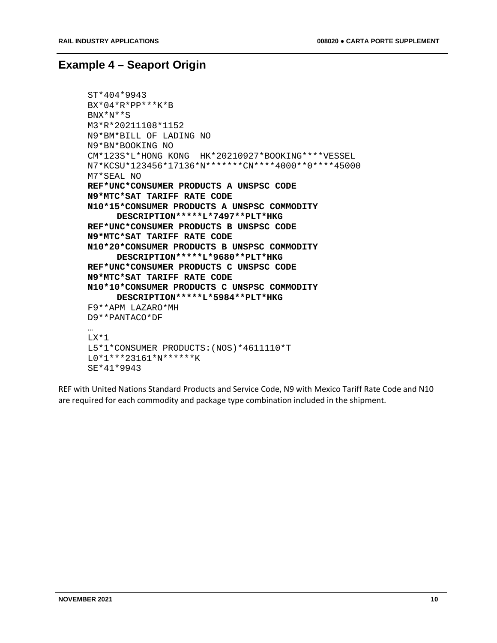### <span id="page-9-0"></span>**Example 4 – Seaport Origin**

```
ST*404*9943
BX*04*R*PP***K*B
BNX*N**S
M3*R*20211108*1152
N9*BM*BILL OF LADING NO
N9*BN*BOOKING NO
CM*123S*L*HONG KONG HK*20210927*BOOKING****VESSEL
N7*KCSU*123456*17136*N*******CN****4000**0****45000
M7*SEAL NO
REF*UNC*CONSUMER PRODUCTS A UNSPSC CODE 
N9*MTC*SAT TARIFF RATE CODE
N10*15*CONSUMER PRODUCTS A UNSPSC COMMODITY 
     DESCRIPTION*****L*7497**PLT*HKG
REF*UNC*CONSUMER PRODUCTS B UNSPSC CODE 
N9*MTC*SAT TARIFF RATE CODE
N10*20*CONSUMER PRODUCTS B UNSPSC COMMODITY 
     DESCRIPTION*****L*9680**PLT*HKG
REF*UNC*CONSUMER PRODUCTS C UNSPSC CODE 
N9*MTC*SAT TARIFF RATE CODE
N10*10*CONSUMER PRODUCTS C UNSPSC COMMODITY 
     DESCRIPTION*****L*5984**PLT*HKG
F9**APM LAZARO*MH
D9**PANTACO*DF
…
LX*1L5*1*CONSUMER PRODUCTS:(NOS)*4611110*T
L0*1***23161*N******K
SE*41*9943
```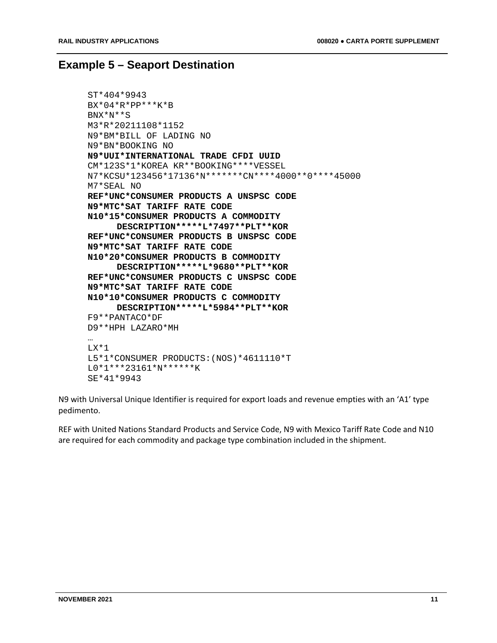### <span id="page-10-0"></span>**Example 5 – Seaport Destination**

```
ST*404*9943
BX*04*R*PP***K*B
BNX*N**S
M3*R*20211108*1152
N9*BM*BILL OF LADING NO
N9*BN*BOOKING NO
N9*UUI*INTERNATIONAL TRADE CFDI UUID
CM*123S*1*KOREA KR**BOOKING****VESSEL
N7*KCSU*123456*17136*N*******CN****4000**0****45000
M7*SEAL NO
REF*UNC*CONSUMER PRODUCTS A UNSPSC CODE 
N9*MTC*SAT TARIFF RATE CODE
N10*15*CONSUMER PRODUCTS A COMMODITY 
     DESCRIPTION*****L*7497**PLT**KOR
REF*UNC*CONSUMER PRODUCTS B UNSPSC CODE 
N9*MTC*SAT TARIFF RATE CODE
N10*20*CONSUMER PRODUCTS B COMMODITY 
     DESCRIPTION*****L*9680**PLT**KOR
REF*UNC*CONSUMER PRODUCTS C UNSPSC CODE 
N9*MTC*SAT TARIFF RATE CODE
N10*10*CONSUMER PRODUCTS C COMMODITY 
     DESCRIPTION*****L*5984**PLT**KOR
F9**PANTACO*DF
D9**HPH LAZARO*MH
…
LX*1
L5*1*CONSUMER PRODUCTS:(NOS)*4611110*T
L0*1***23161*N******K
SE*41*9943
```
N9 with Universal Unique Identifier is required for export loads and revenue empties with an 'A1' type pedimento.